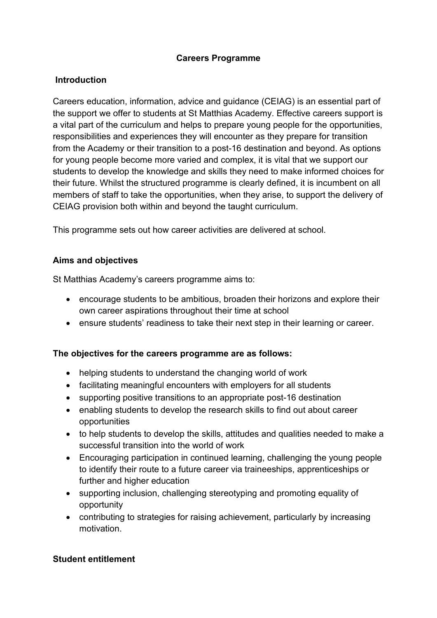## **Careers Programme**

## **Introduction**

Careers education, information, advice and guidance (CEIAG) is an essential part of the support we offer to students at St Matthias Academy. Effective careers support is a vital part of the curriculum and helps to prepare young people for the opportunities, responsibilities and experiences they will encounter as they prepare for transition from the Academy or their transition to a post-16 destination and beyond. As options for young people become more varied and complex, it is vital that we support our students to develop the knowledge and skills they need to make informed choices for their future. Whilst the structured programme is clearly defined, it is incumbent on all members of staff to take the opportunities, when they arise, to support the delivery of CEIAG provision both within and beyond the taught curriculum.

This programme sets out how career activities are delivered at school.

## **Aims and objectives**

St Matthias Academy's careers programme aims to:

- encourage students to be ambitious, broaden their horizons and explore their own career aspirations throughout their time at school
- ensure students' readiness to take their next step in their learning or career.

## **The objectives for the careers programme are as follows:**

- helping students to understand the changing world of work
- facilitating meaningful encounters with employers for all students
- supporting positive transitions to an appropriate post-16 destination
- enabling students to develop the research skills to find out about career opportunities
- to help students to develop the skills, attitudes and qualities needed to make a successful transition into the world of work
- Encouraging participation in continued learning, challenging the young people to identify their route to a future career via traineeships, apprenticeships or further and higher education
- supporting inclusion, challenging stereotyping and promoting equality of opportunity
- contributing to strategies for raising achievement, particularly by increasing motivation.

## **Student entitlement**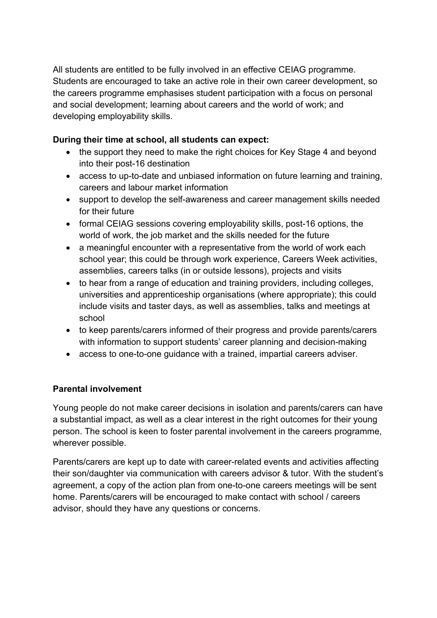All students are entitled to be fully involved in an effective CEIAG programme. Students are encouraged to take an active role in their own career development, so the careers programme emphasises student participation with a focus on personal and social development; learning about careers and the world of work; and developing employability skills.

## **During their time at school, all students can expect:**

- the support they need to make the right choices for Key Stage 4 and beyond into their post-16 destination
- access to up-to-date and unbiased information on future learning and training, careers and labour market information
- support to develop the self-awareness and career management skills needed for their future
- formal CEIAG sessions covering employability skills, post-16 options, the world of work, the job market and the skills needed for the future
- a meaningful encounter with a representative from the world of work each school year; this could be through work experience, Careers Week activities, assemblies, careers talks (in or outside lessons), projects and visits
- to hear from a range of education and training providers, including colleges, universities and apprenticeship organisations (where appropriate); this could include visits and taster days, as well as assemblies, talks and meetings at school
- to keep parents/carers informed of their progress and provide parents/carers with information to support students' career planning and decision-making
- access to one-to-one guidance with a trained, impartial careers adviser.

# **Parental involvement**

Young people do not make career decisions in isolation and parents/carers can have a substantial impact, as well as a clear interest in the right outcomes for their young person. The school is keen to foster parental involvement in the careers programme, wherever possible.

Parents/carers are kept up to date with career-related events and activities affecting their son/daughter via communication with careers advisor & tutor. With the student's agreement, a copy of the action plan from one-to-one careers meetings will be sent home. Parents/carers will be encouraged to make contact with school / careers advisor, should they have any questions or concerns.